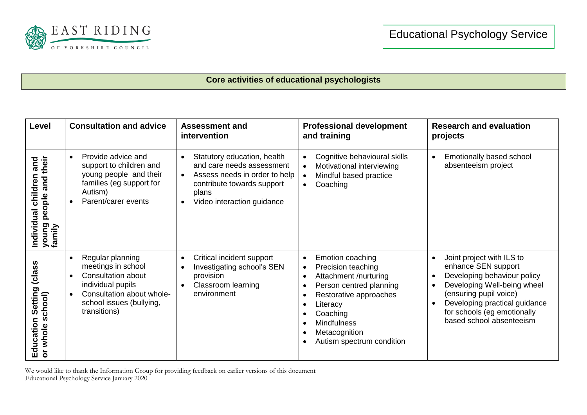

## **Core activities of educational psychologists**

| Level                                                                     | <b>Consultation and advice</b>                                                                                                                                                                           | <b>Assessment and</b><br>intervention                                                                                                                                                    | <b>Professional development</b><br>and training                                                                                                                                                                                                 | <b>Research and evaluation</b><br>projects                                                                                                                                                                                           |
|---------------------------------------------------------------------------|----------------------------------------------------------------------------------------------------------------------------------------------------------------------------------------------------------|------------------------------------------------------------------------------------------------------------------------------------------------------------------------------------------|-------------------------------------------------------------------------------------------------------------------------------------------------------------------------------------------------------------------------------------------------|--------------------------------------------------------------------------------------------------------------------------------------------------------------------------------------------------------------------------------------|
| their<br>and<br>children<br>and<br>people<br>Individual<br>Dono<br>family | Provide advice and<br>$\bullet$<br>support to children and<br>young people and their<br>families (eg support for<br>Autism)<br>Parent/carer events                                                       | Statutory education, health<br>and care needs assessment<br>Assess needs in order to help<br>$\bullet$<br>contribute towards support<br>plans<br>Video interaction guidance<br>$\bullet$ | Cognitive behavioural skills<br>Motivational interviewing<br>Mindful based practice<br>Coaching<br>$\bullet$                                                                                                                                    | Emotionally based school<br>$\bullet$<br>absenteeism project                                                                                                                                                                         |
| (class<br>Setting<br>school)<br>Education<br>or whole                     | Regular planning<br>$\bullet$<br>meetings in school<br><b>Consultation about</b><br>$\bullet$<br>individual pupils<br>Consultation about whole-<br>$\bullet$<br>school issues (bullying,<br>transitions) | Critical incident support<br>Investigating school's SEN<br>provision<br><b>Classroom learning</b><br>$\bullet$<br>environment                                                            | Emotion coaching<br>$\bullet$<br>Precision teaching<br>$\bullet$<br>Attachment /nurturing<br>Person centred planning<br>Restorative approaches<br>Literacy<br>Coaching<br>٠<br><b>Mindfulness</b><br>Metacognition<br>Autism spectrum condition | Joint project with ILS to<br>enhance SEN support<br>Developing behaviour policy<br>Developing Well-being wheel<br>(ensuring pupil voice)<br>Developing practical guidance<br>for schools (eg emotionally<br>based school absenteeism |

We would like to thank the Information Group for providing feedback on earlier versions of this document Educational Psychology Service January 2020